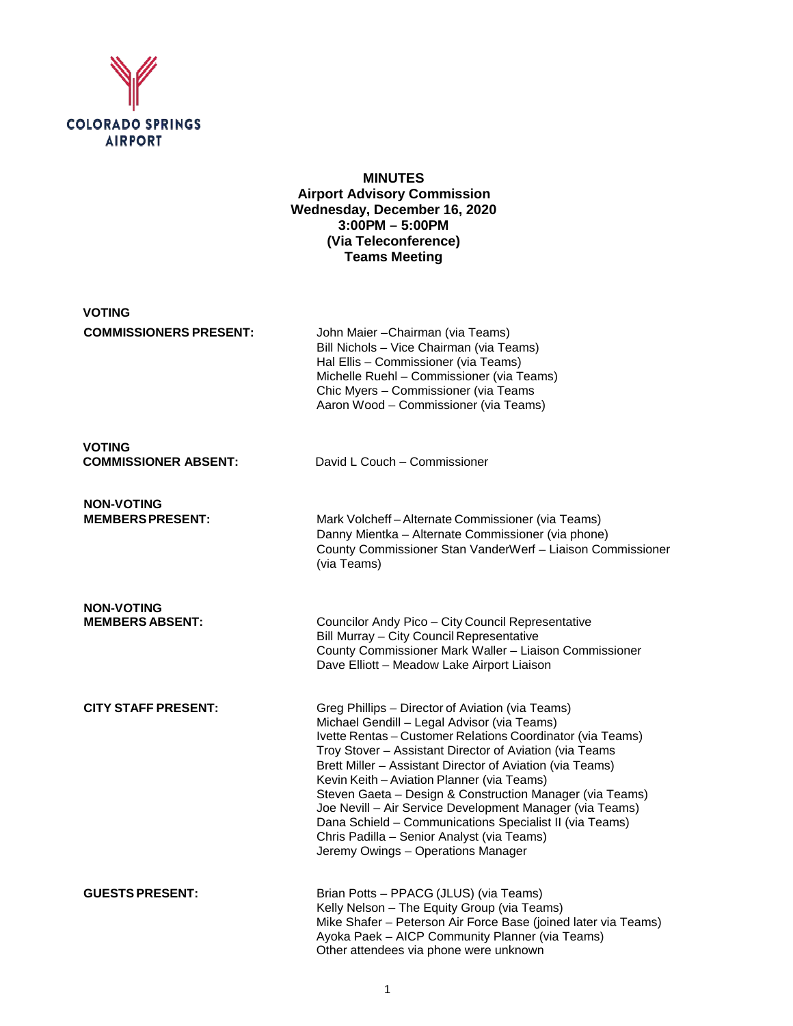

### **MINUTES Airport Advisory Commission Wednesday, December 16, 2020 3:00PM – 5:00PM (Via Teleconference) Teams Meeting**

| <b>VOTING</b>                                |                                                                                                                                                                                                                                                                                                                                                                                                                                                                                                                                                                                                            |
|----------------------------------------------|------------------------------------------------------------------------------------------------------------------------------------------------------------------------------------------------------------------------------------------------------------------------------------------------------------------------------------------------------------------------------------------------------------------------------------------------------------------------------------------------------------------------------------------------------------------------------------------------------------|
| <b>COMMISSIONERS PRESENT:</b>                | John Maier - Chairman (via Teams)<br>Bill Nichols - Vice Chairman (via Teams)<br>Hal Ellis - Commissioner (via Teams)<br>Michelle Ruehl - Commissioner (via Teams)<br>Chic Myers - Commissioner (via Teams<br>Aaron Wood - Commissioner (via Teams)                                                                                                                                                                                                                                                                                                                                                        |
| <b>VOTING</b><br><b>COMMISSIONER ABSENT:</b> | David L Couch - Commissioner                                                                                                                                                                                                                                                                                                                                                                                                                                                                                                                                                                               |
| <b>NON-VOTING</b><br><b>MEMBERS PRESENT:</b> | Mark Volcheff-Alternate Commissioner (via Teams)<br>Danny Mientka - Alternate Commissioner (via phone)<br>County Commissioner Stan VanderWerf - Liaison Commissioner<br>(via Teams)                                                                                                                                                                                                                                                                                                                                                                                                                        |
| <b>NON-VOTING</b><br><b>MEMBERS ABSENT:</b>  | Councilor Andy Pico - City Council Representative<br>Bill Murray - City Council Representative<br>County Commissioner Mark Waller - Liaison Commissioner<br>Dave Elliott - Meadow Lake Airport Liaison                                                                                                                                                                                                                                                                                                                                                                                                     |
| <b>CITY STAFF PRESENT:</b>                   | Greg Phillips - Director of Aviation (via Teams)<br>Michael Gendill - Legal Advisor (via Teams)<br>Ivette Rentas - Customer Relations Coordinator (via Teams)<br>Troy Stover - Assistant Director of Aviation (via Teams<br>Brett Miller - Assistant Director of Aviation (via Teams)<br>Kevin Keith - Aviation Planner (via Teams)<br>Steven Gaeta - Design & Construction Manager (via Teams)<br>Joe Nevill - Air Service Development Manager (via Teams)<br>Dana Schield - Communications Specialist II (via Teams)<br>Chris Padilla - Senior Analyst (via Teams)<br>Jeremy Owings - Operations Manager |
| <b>GUESTS PRESENT:</b>                       | Brian Potts - PPACG (JLUS) (via Teams)<br>Kelly Nelson - The Equity Group (via Teams)<br>Mike Shafer - Peterson Air Force Base (joined later via Teams)<br>Ayoka Paek - AICP Community Planner (via Teams)<br>Other attendees via phone were unknown                                                                                                                                                                                                                                                                                                                                                       |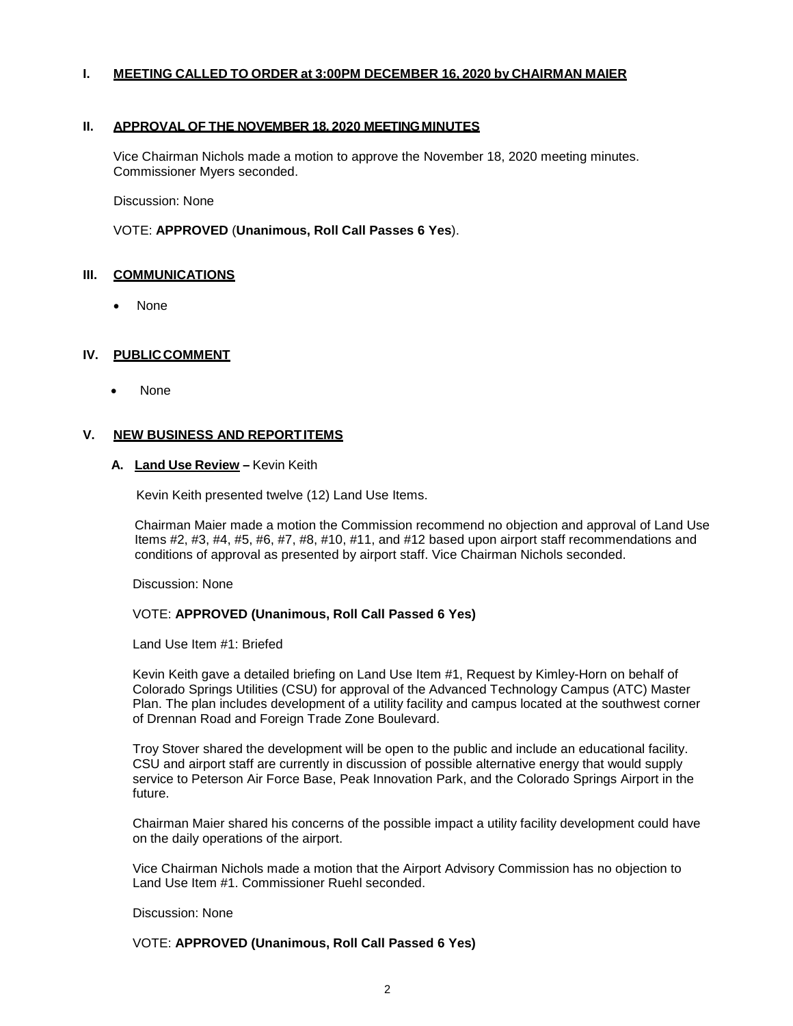### **I. MEETING CALLED TO ORDER at 3:00PM DECEMBER 16, 2020 by CHAIRMAN MAIER**

#### **II. APPROVAL OF THE NOVEMBER 18, 2020 MEETINGMINUTES**

Vice Chairman Nichols made a motion to approve the November 18, 2020 meeting minutes. Commissioner Myers seconded.

Discussion: None

VOTE: **APPROVED** (**Unanimous, Roll Call Passes 6 Yes**).

### **III. COMMUNICATIONS**

• None

### **IV. PUBLICCOMMENT**

• None

### **V. NEW BUSINESS AND REPORTITEMS**

### **A. Land Use Review –** Kevin Keith

Kevin Keith presented twelve (12) Land Use Items.

Chairman Maier made a motion the Commission recommend no objection and approval of Land Use Items #2, #3, #4, #5, #6, #7, #8, #10, #11, and #12 based upon airport staff recommendations and conditions of approval as presented by airport staff. Vice Chairman Nichols seconded.

Discussion: None

#### VOTE: **APPROVED (Unanimous, Roll Call Passed 6 Yes)**

Land Use Item #1: Briefed

Kevin Keith gave a detailed briefing on Land Use Item #1, Request by Kimley-Horn on behalf of Colorado Springs Utilities (CSU) for approval of the Advanced Technology Campus (ATC) Master Plan. The plan includes development of a utility facility and campus located at the southwest corner of Drennan Road and Foreign Trade Zone Boulevard.

Troy Stover shared the development will be open to the public and include an educational facility. CSU and airport staff are currently in discussion of possible alternative energy that would supply service to Peterson Air Force Base, Peak Innovation Park, and the Colorado Springs Airport in the future.

Chairman Maier shared his concerns of the possible impact a utility facility development could have on the daily operations of the airport.

Vice Chairman Nichols made a motion that the Airport Advisory Commission has no objection to Land Use Item #1. Commissioner Ruehl seconded.

Discussion: None

VOTE: **APPROVED (Unanimous, Roll Call Passed 6 Yes)**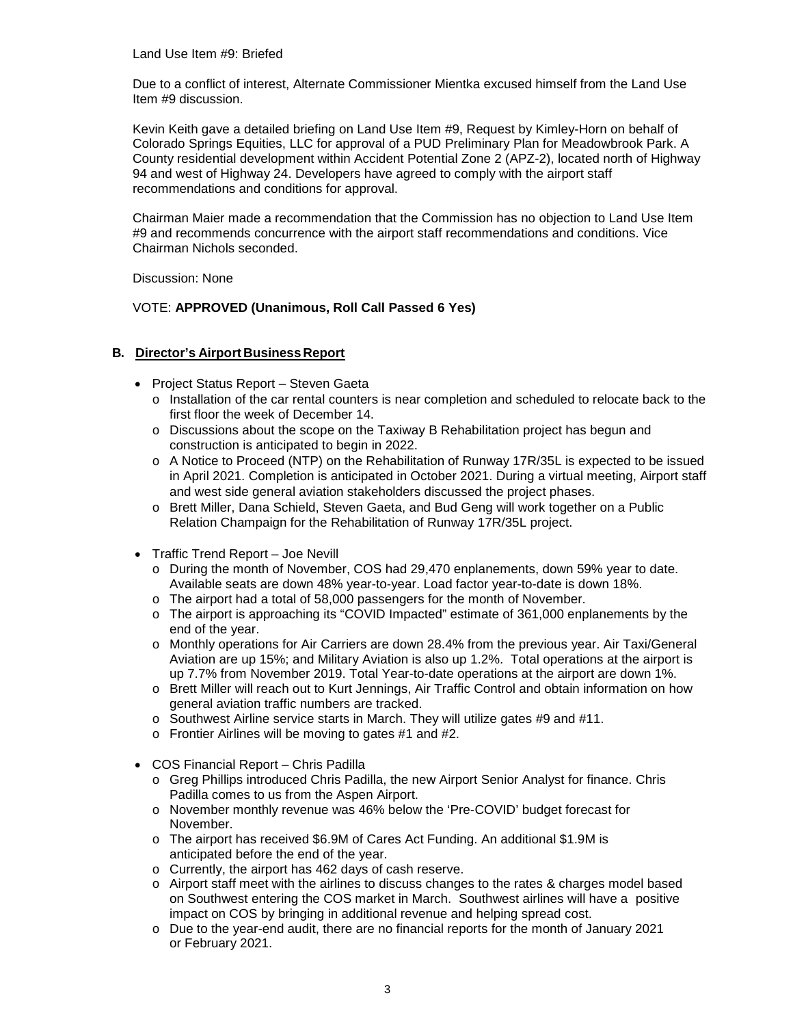Land Use Item #9: Briefed

Due to a conflict of interest, Alternate Commissioner Mientka excused himself from the Land Use Item #9 discussion.

Kevin Keith gave a detailed briefing on Land Use Item #9, Request by Kimley-Horn on behalf of Colorado Springs Equities, LLC for approval of a PUD Preliminary Plan for Meadowbrook Park. A County residential development within Accident Potential Zone 2 (APZ-2), located north of Highway 94 and west of Highway 24. Developers have agreed to comply with the airport staff recommendations and conditions for approval.

Chairman Maier made a recommendation that the Commission has no objection to Land Use Item #9 and recommends concurrence with the airport staff recommendations and conditions. Vice Chairman Nichols seconded.

Discussion: None

VOTE: **APPROVED (Unanimous, Roll Call Passed 6 Yes)**

### **B. Director's Airport Business Report**

- Project Status Report Steven Gaeta
	- o Installation of the car rental counters is near completion and scheduled to relocate back to the first floor the week of December 14.
	- o Discussions about the scope on the Taxiway B Rehabilitation project has begun and construction is anticipated to begin in 2022.
	- o A Notice to Proceed (NTP) on the Rehabilitation of Runway 17R/35L is expected to be issued in April 2021. Completion is anticipated in October 2021. During a virtual meeting, Airport staff and west side general aviation stakeholders discussed the project phases.
	- o Brett Miller, Dana Schield, Steven Gaeta, and Bud Geng will work together on a Public Relation Champaign for the Rehabilitation of Runway 17R/35L project.
- Traffic Trend Report Joe Nevill
	- o During the month of November, COS had 29,470 enplanements, down 59% year to date. Available seats are down 48% year-to-year. Load factor year-to-date is down 18%.
	- o The airport had a total of 58,000 passengers for the month of November.
	- o The airport is approaching its "COVID Impacted" estimate of 361,000 enplanements by the end of the year.
	- o Monthly operations for Air Carriers are down 28.4% from the previous year. Air Taxi/General Aviation are up 15%; and Military Aviation is also up 1.2%. Total operations at the airport is up 7.7% from November 2019. Total Year-to-date operations at the airport are down 1%.
	- o Brett Miller will reach out to Kurt Jennings, Air Traffic Control and obtain information on how general aviation traffic numbers are tracked.
	- o Southwest Airline service starts in March. They will utilize gates #9 and #11.
	- o Frontier Airlines will be moving to gates #1 and #2.
- COS Financial Report Chris Padilla
	- o Greg Phillips introduced Chris Padilla, the new Airport Senior Analyst for finance. Chris Padilla comes to us from the Aspen Airport.
	- o November monthly revenue was 46% below the 'Pre-COVID' budget forecast for November.
	- o The airport has received \$6.9M of Cares Act Funding. An additional \$1.9M is anticipated before the end of the year.
	- o Currently, the airport has 462 days of cash reserve.
	- o Airport staff meet with the airlines to discuss changes to the rates & charges model based on Southwest entering the COS market in March. Southwest airlines will have a positive impact on COS by bringing in additional revenue and helping spread cost.
	- o Due to the year-end audit, there are no financial reports for the month of January 2021 or February 2021.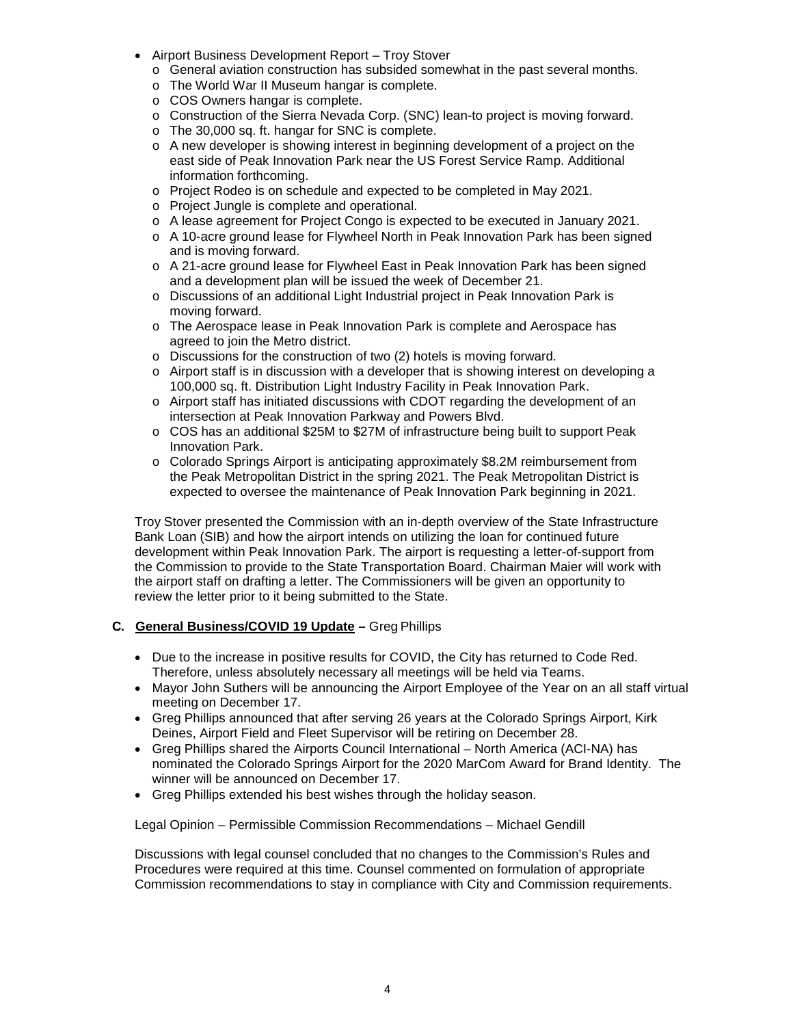- Airport Business Development Report Troy Stover
	- o General aviation construction has subsided somewhat in the past several months.
	- o The World War II Museum hangar is complete.
	- o COS Owners hangar is complete.
	- o Construction of the Sierra Nevada Corp. (SNC) lean-to project is moving forward.
	- o The 30,000 sq. ft. hangar for SNC is complete.
	- o A new developer is showing interest in beginning development of a project on the east side of Peak Innovation Park near the US Forest Service Ramp. Additional information forthcoming.
	- o Project Rodeo is on schedule and expected to be completed in May 2021.
	- o Project Jungle is complete and operational.
	- o A lease agreement for Project Congo is expected to be executed in January 2021.
	- o A 10-acre ground lease for Flywheel North in Peak Innovation Park has been signed and is moving forward.
	- o A 21-acre ground lease for Flywheel East in Peak Innovation Park has been signed and a development plan will be issued the week of December 21.
	- o Discussions of an additional Light Industrial project in Peak Innovation Park is moving forward.
	- o The Aerospace lease in Peak Innovation Park is complete and Aerospace has agreed to join the Metro district.
	- o Discussions for the construction of two (2) hotels is moving forward.
	- o Airport staff is in discussion with a developer that is showing interest on developing a 100,000 sq. ft. Distribution Light Industry Facility in Peak Innovation Park.
	- o Airport staff has initiated discussions with CDOT regarding the development of an intersection at Peak Innovation Parkway and Powers Blvd.
	- o COS has an additional \$25M to \$27M of infrastructure being built to support Peak Innovation Park.
	- o Colorado Springs Airport is anticipating approximately \$8.2M reimbursement from the Peak Metropolitan District in the spring 2021. The Peak Metropolitan District is expected to oversee the maintenance of Peak Innovation Park beginning in 2021.

Troy Stover presented the Commission with an in-depth overview of the State Infrastructure Bank Loan (SIB) and how the airport intends on utilizing the loan for continued future development within Peak Innovation Park. The airport is requesting a letter-of-support from the Commission to provide to the State Transportation Board. Chairman Maier will work with the airport staff on drafting a letter. The Commissioners will be given an opportunity to review the letter prior to it being submitted to the State.

### **C. General Business/COVID 19 Update –** Greg Phillips

- Due to the increase in positive results for COVID, the City has returned to Code Red. Therefore, unless absolutely necessary all meetings will be held via Teams.
- Mayor John Suthers will be announcing the Airport Employee of the Year on an all staff virtual meeting on December 17.
- Greg Phillips announced that after serving 26 years at the Colorado Springs Airport, Kirk Deines, Airport Field and Fleet Supervisor will be retiring on December 28.
- Greg Phillips shared the Airports Council International North America (ACI-NA) has nominated the Colorado Springs Airport for the 2020 MarCom Award for Brand Identity. The winner will be announced on December 17.
- Greg Phillips extended his best wishes through the holiday season.

Legal Opinion – Permissible Commission Recommendations – Michael Gendill

Discussions with legal counsel concluded that no changes to the Commission's Rules and Procedures were required at this time. Counsel commented on formulation of appropriate Commission recommendations to stay in compliance with City and Commission requirements.